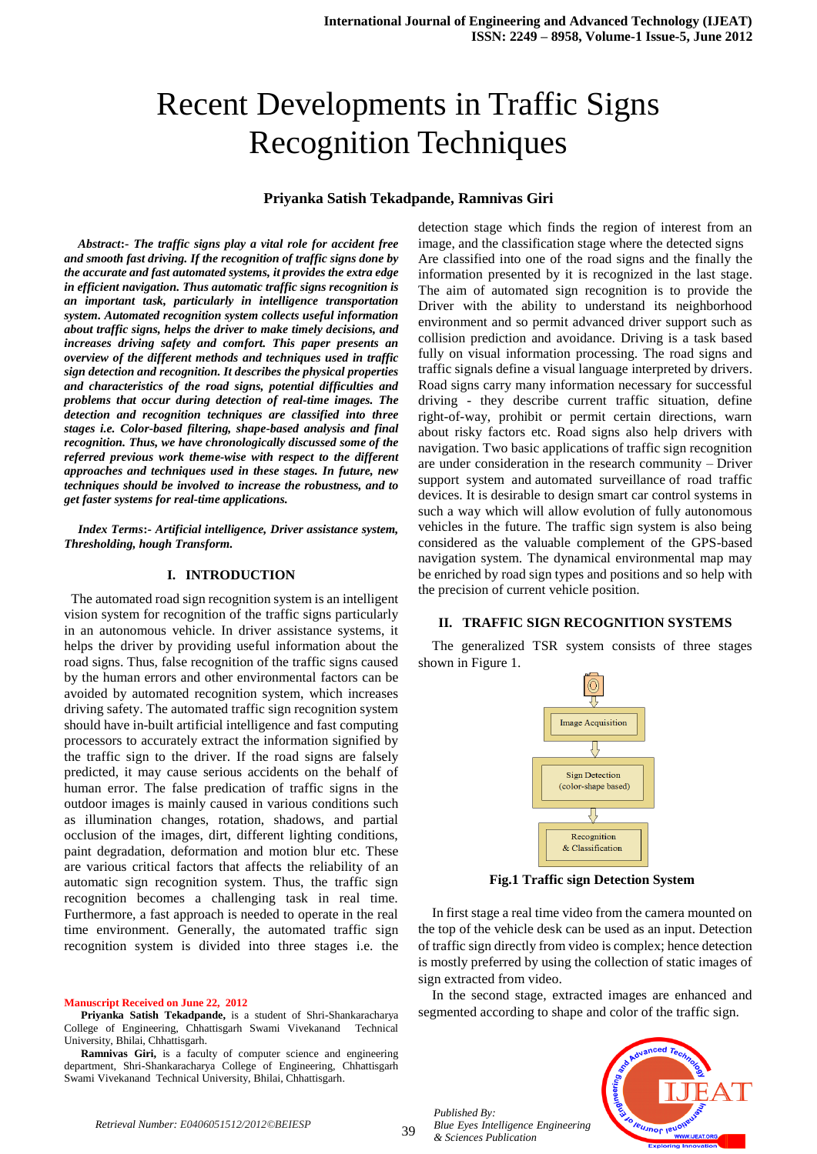# Recent Developments in Traffic Signs Recognition Techniques

#### **Priyanka Satish Tekadpande, Ramnivas Giri**

*Abstract***:-** *The traffic signs play a vital role for accident free and smooth fast driving. If the recognition of traffic signs done by the accurate and fast automated systems, it provides the extra edge in efficient navigation. Thus automatic traffic signs recognition is an important task, particularly in intelligence transportation system. Automated recognition system collects useful information about traffic signs, helps the driver to make timely decisions, and increases driving safety and comfort. This paper presents an overview of the different methods and techniques used in traffic sign detection and recognition. It describes the physical properties and characteristics of the road signs, potential difficulties and problems that occur during detection of real-time images. The detection and recognition techniques are classified into three stages i.e. Color-based filtering, shape-based analysis and final recognition. Thus, we have chronologically discussed some of the referred previous work theme-wise with respect to the different approaches and techniques used in these stages. In future, new techniques should be involved to increase the robustness, and to get faster systems for real-time applications.*

*Index Terms***:-** *Artificial intelligence, Driver assistance system, Thresholding, hough Transform.* 

#### **I. INTRODUCTION**

 The automated road sign recognition system is an intelligent vision system for recognition of the traffic signs particularly in an autonomous vehicle. In driver assistance systems, it helps the driver by providing useful information about the road signs. Thus, false recognition of the traffic signs caused by the human errors and other environmental factors can be avoided by automated recognition system, which increases driving safety. The automated traffic sign recognition system should have in-built artificial intelligence and fast computing processors to accurately extract the information signified by the traffic sign to the driver. If the road signs are falsely predicted, it may cause serious accidents on the behalf of human error. The false predication of traffic signs in the outdoor images is mainly caused in various conditions such as illumination changes, rotation, shadows, and partial occlusion of the images, dirt, different lighting conditions, paint degradation, deformation and motion blur etc. These are various critical factors that affects the reliability of an automatic sign recognition system. Thus, the traffic sign recognition becomes a challenging task in real time. Furthermore, a fast approach is needed to operate in the real time environment. Generally, the automated traffic sign recognition system is divided into three stages i.e. the

**Manuscript Received on June 22, 2012**

**Priyanka Satish Tekadpande,** is a student of Shri-Shankaracharya College of Engineering, Chhattisgarh Swami Vivekanand Technical University, Bhilai, Chhattisgarh.

**Ramnivas Giri,** is a faculty of computer science and engineering department, Shri-Shankaracharya College of Engineering, Chhattisgarh Swami Vivekanand Technical University, Bhilai, Chhattisgarh.

detection stage which finds the region of interest from an image, and the classification stage where the detected signs Are classified into one of the road signs and the finally the information presented by it is recognized in the last stage. The aim of automated sign recognition is to provide the Driver with the ability to understand its neighborhood environment and so permit advanced driver support such as collision prediction and avoidance. Driving is a task based fully on visual information processing. The road signs and traffic signals define a visual language interpreted by drivers. Road signs carry many information necessary for successful driving - they describe current traffic situation, define right-of-way, prohibit or permit certain directions, warn about risky factors etc. Road signs also help drivers with navigation. Two basic applications of traffic sign recognition are under consideration in the research community – Driver support system and automated surveillance of road traffic devices. It is desirable to design smart car control systems in such a way which will allow evolution of fully autonomous vehicles in the future. The traffic sign system is also being considered as the valuable complement of the GPS-based navigation system. The dynamical environmental map may be enriched by road sign types and positions and so help with the precision of current vehicle position.

#### **II. TRAFFIC SIGN RECOGNITION SYSTEMS**

The generalized TSR system consists of three stages shown in Figure 1.



**Fig.1 Traffic sign Detection System**

In first stage a real time video from the camera mounted on the top of the vehicle desk can be used as an input. Detection of traffic sign directly from video is complex; hence detection is mostly preferred by using the collection of static images of sign extracted from video.

In the second stage, extracted images are enhanced and segmented according to shape and color of the traffic sign.



*Published By: Blue Eyes Intelligence Engineering & Sciences Publication*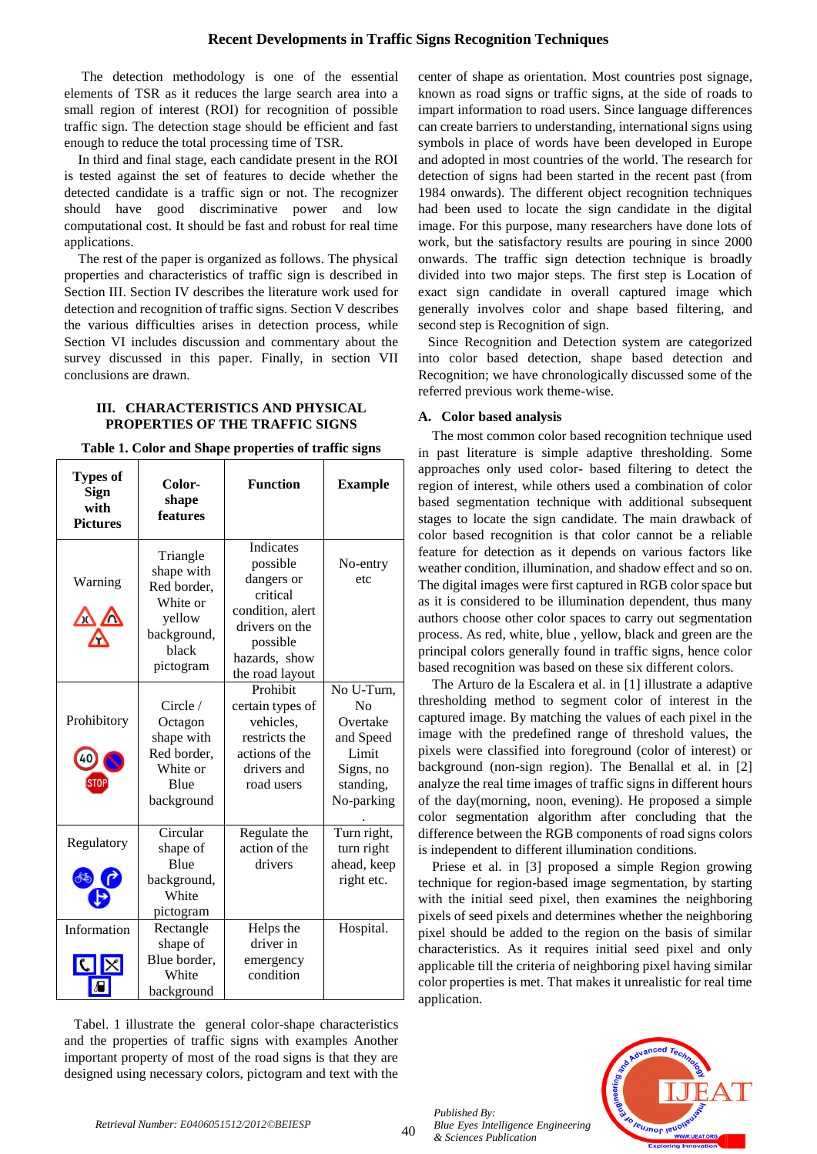The detection methodology is one of the essential elements of TSR as it reduces the large search area into a small region of interest (ROI) for recognition of possible traffic sign. The detection stage should be efficient and fast enough to reduce the total processing time of TSR.

In third and final stage, each candidate present in the ROI is tested against the set of features to decide whether the detected candidate is a traffic sign or not. The recognizer should have good discriminative power and low computational cost. It should be fast and robust for real time applications.

The rest of the paper is organized as follows. The physical properties and characteristics of traffic sign is described in Section III. Section IV describes the literature work used for detection and recognition of traffic signs. Section V describes the various difficulties arises in detection process, while Section VI includes discussion and commentary about the survey discussed in this paper. Finally, in section VII conclusions are drawn.

#### **III. CHARACTERISTICS AND PHYSICAL PROPERTIES OF THE TRAFFIC SIGNS**

**Table 1. Color and Shape properties of traffic signs**

| <b>Types of</b><br>Sign<br>with<br><b>Pictures</b> | Color-<br>shape<br>features                                                                      | <b>Function</b>                                                                                                                       | <b>Example</b>                                                                             |
|----------------------------------------------------|--------------------------------------------------------------------------------------------------|---------------------------------------------------------------------------------------------------------------------------------------|--------------------------------------------------------------------------------------------|
| Warning<br>$\mathbf{X}$                            | Triangle<br>shape with<br>Red border,<br>White or<br>yellow<br>background,<br>black<br>pictogram | Indicates<br>possible<br>dangers or<br>critical<br>condition, alert<br>drivers on the<br>possible<br>hazards, show<br>the road layout | No-entry<br>etc                                                                            |
| Prohibitory<br>STOF                                | Circle /<br>Octagon<br>shape with<br>Red border,<br>White or<br><b>Blue</b><br>background        | Prohibit<br>certain types of<br>vehicles,<br>restricts the<br>actions of the<br>drivers and<br>road users                             | No U-Turn,<br>No<br>Overtake<br>and Speed<br>Limit<br>Signs, no<br>standing,<br>No-parking |
| Regulatory<br>கூ                                   | Circular<br>shape of<br><b>Blue</b><br>background,<br>White<br>pictogram                         | Regulate the<br>action of the<br>drivers                                                                                              | Turn right,<br>turn right<br>ahead, keep<br>right etc.                                     |
| Information<br> C                                  | Rectangle<br>shape of<br>Blue border,<br>White<br>background                                     | Helps the<br>driver in<br>emergency<br>condition                                                                                      | Hospital.                                                                                  |

Tabel. 1 illustrate the general color-shape characteristics and the properties of traffic signs with examples Another important property of most of the road signs is that they are designed using necessary colors, pictogram and text with the center of shape as orientation. Most countries post signage, known as road signs or traffic signs, at the side of roads to impart information to road users. Since language differences can create barriers to understanding, international signs using symbols in place of words have been developed in Europe and adopted in most countries of the world. The research for detection of signs had been started in the recent past (from 1984 onwards). The different object recognition techniques had been used to locate the sign candidate in the digital image. For this purpose, many researchers have done lots of work, but the satisfactory results are pouring in since 2000 onwards. The traffic sign detection technique is broadly divided into two major steps. The first step is Location of exact sign candidate in overall captured image which generally involves color and shape based filtering, and second step is Recognition of sign.

Since Recognition and Detection system are categorized into color based detection, shape based detection and Recognition; we have chronologically discussed some of the referred previous work theme-wise.

# **A. Color based analysis**

The most common color based recognition technique used in past literature is simple adaptive thresholding. Some approaches only used color- based filtering to detect the region of interest, while others used a combination of color based segmentation technique with additional subsequent stages to locate the sign candidate. The main drawback of color based recognition is that color cannot be a reliable feature for detection as it depends on various factors like weather condition, illumination, and shadow effect and so on. The digital images were first captured in RGB color space but as it is considered to be illumination dependent, thus many authors choose other color spaces to carry out segmentation process. As red, white, blue , yellow, black and green are the principal colors generally found in traffic signs, hence color based recognition was based on these six different colors.

The Arturo de la Escalera et al. in [1] illustrate a adaptive thresholding method to segment color of interest in the captured image. By matching the values of each pixel in the image with the predefined range of threshold values, the pixels were classified into foreground (color of interest) or background (non-sign region). The Benallal et al. in [2] analyze the real time images of traffic signs in different hours of the day(morning, noon, evening). He proposed a simple color segmentation algorithm after concluding that the difference between the RGB components of road signs colors is independent to different illumination conditions.

Priese et al. in [3] proposed a simple Region growing technique for region-based [image segmentation,](http://en.wikipedia.org/wiki/Image_segmentation) by starting with the initial seed pixel, then examines the neighboring pixels of seed pixels and determines whether the neighboring pixel should be added to the region on the basis of similar characteristics. As it requires initial seed pixel and only applicable till the criteria of neighboring pixel having similar color properties is met. That makes it unrealistic for real time application.



*Published By:*

*& Sciences Publication* 

*Blue Eyes Intelligence Engineering*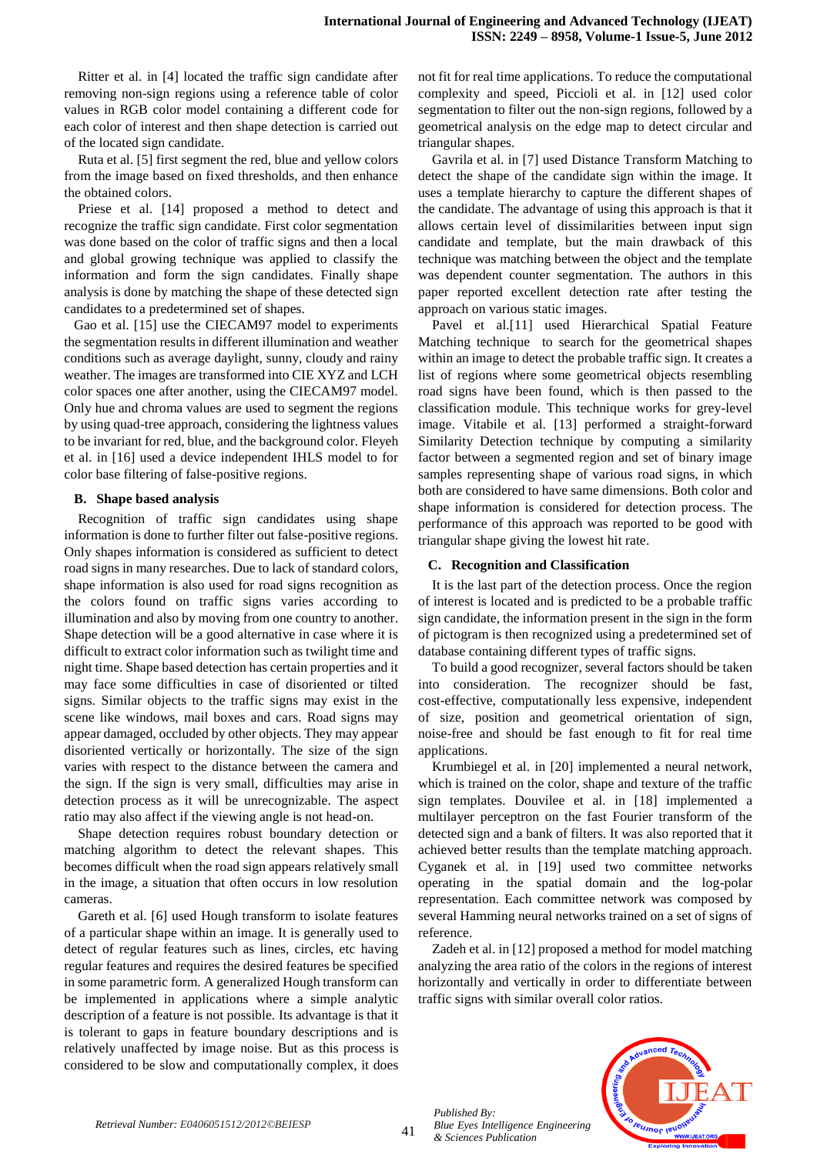Ritter et al. in [4] located the traffic sign candidate after removing non-sign regions using a reference table of color values in RGB color model containing a different code for each color of interest and then shape detection is carried out of the located sign candidate.

Ruta et al. [5] first segment the red, blue and yellow colors from the image based on fixed thresholds, and then enhance the obtained colors.

Priese et al. [14] proposed a method to detect and recognize the traffic sign candidate. First color segmentation was done based on the color of traffic signs and then a local and global growing technique was applied to classify the information and form the sign candidates. Finally shape analysis is done by matching the shape of these detected sign candidates to a predetermined set of shapes.

Gao et al. [15] use the CIECAM97 model to experiments the segmentation results in different illumination and weather conditions such as average daylight, sunny, cloudy and rainy weather. The images are transformed into CIE XYZ and LCH color spaces one after another, using the CIECAM97 model. Only hue and chroma values are used to segment the regions by using quad-tree approach, considering the lightness values to be invariant for red, blue, and the background color. Fleyeh et al. in [16] used a device independent IHLS model to for color base filtering of false-positive regions.

#### **B. Shape based analysis**

Recognition of traffic sign candidates using shape information is done to further filter out false-positive regions. Only shapes information is considered as sufficient to detect road signs in many researches. Due to lack of standard colors, shape information is also used for road signs recognition as the colors found on traffic signs varies according to illumination and also by moving from one country to another. Shape detection will be a good alternative in case where it is difficult to extract color information such as twilight time and night time. Shape based detection has certain properties and it may face some difficulties in case of disoriented or tilted signs. Similar objects to the traffic signs may exist in the scene like windows, mail boxes and cars. Road signs may appear damaged, occluded by other objects. They may appear disoriented vertically or horizontally. The size of the sign varies with respect to the distance between the camera and the sign. If the sign is very small, difficulties may arise in detection process as it will be unrecognizable. The aspect ratio may also affect if the viewing angle is not head-on.

Shape detection requires robust boundary detection or matching algorithm to detect the relevant shapes. This becomes difficult when the road sign appears relatively small in the image, a situation that often occurs in low resolution cameras.

Gareth et al. [6] used Hough transform to isolate features of a particular shape within an image. It is generally used to detect of regular features such as lines, circles, etc having regular features and requires the desired features be specified in some parametric form. A generalized Hough transform can be implemented in applications where a simple analytic description of a feature is not possible. Its advantage is that it is tolerant to gaps in feature boundary descriptions and is relatively unaffected by image noise. But as this process is considered to be slow and computationally complex, it does not fit for real time applications. To reduce the computational complexity and speed, Piccioli et al. in [12] used color segmentation to filter out the non-sign regions, followed by a geometrical analysis on the edge map to detect circular and triangular shapes.

Gavrila et al. in [7] used Distance Transform Matching to detect the shape of the candidate sign within the image. It uses a template hierarchy to capture the different shapes of the candidate. The advantage of using this approach is that it allows certain level of dissimilarities between input sign candidate and template, but the main drawback of this technique was matching between the object and the template was dependent counter segmentation. The authors in this paper reported excellent detection rate after testing the approach on various static images.

Pavel et al.[11] used Hierarchical Spatial Feature Matching technique to search for the geometrical shapes within an image to detect the probable traffic sign. It creates a list of regions where some geometrical objects resembling road signs have been found, which is then passed to the classification module. This technique works for grey-level image. Vitabile et al. [13] performed a straight-forward Similarity Detection technique by computing a similarity factor between a segmented region and set of binary image samples representing shape of various road signs, in which both are considered to have same dimensions. Both color and shape information is considered for detection process. The performance of this approach was reported to be good with triangular shape giving the lowest hit rate.

# **C. Recognition and Classification**

It is the last part of the detection process. Once the region of interest is located and is predicted to be a probable traffic sign candidate, the information present in the sign in the form of pictogram is then recognized using a predetermined set of database containing different types of traffic signs.

To build a good recognizer, several factors should be taken into consideration. The recognizer should be fast, cost-effective, computationally less expensive, independent of size, position and geometrical orientation of sign, noise-free and should be fast enough to fit for real time applications.

Krumbiegel et al. in [20] implemented a neural network, which is trained on the color, shape and texture of the traffic sign templates. Douvilee et al. in [18] implemented a multilayer perceptron on the fast Fourier transform of the detected sign and a bank of filters. It was also reported that it achieved better results than the template matching approach. Cyganek et al. in [19] used two committee networks operating in the spatial domain and the log-polar representation. Each committee network was composed by several Hamming neural networks trained on a set of signs of reference.

Zadeh et al. in [12] proposed a method for model matching analyzing the area ratio of the colors in the regions of interest horizontally and vertically in order to differentiate between traffic signs with similar overall color ratios.



*Published By:*

*& Sciences Publication*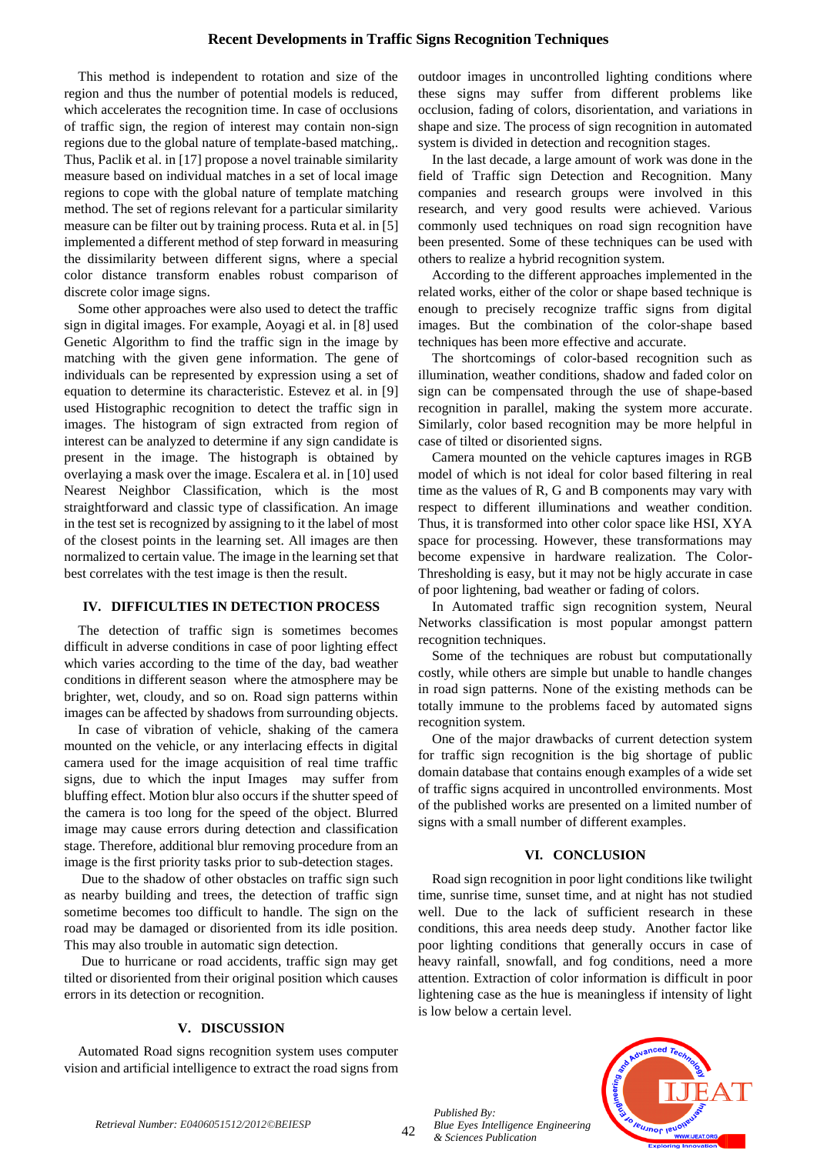# **Recent Developments in Traffic Signs Recognition Techniques**

This method is independent to rotation and size of the region and thus the number of potential models is reduced, which accelerates the recognition time. In case of occlusions of traffic sign, the region of interest may contain non-sign regions due to the global nature of template-based matching,. Thus, Paclik et al. in [17] propose a novel trainable similarity measure based on individual matches in a set of local image regions to cope with the global nature of template matching method. The set of regions relevant for a particular similarity measure can be filter out by training process. Ruta et al. in [5] implemented a different method of step forward in measuring the dissimilarity between different signs, where a special color distance transform enables robust comparison of discrete color image signs.

Some other approaches were also used to detect the traffic sign in digital images. For example, Aoyagi et al. in [8] used Genetic Algorithm to find the traffic sign in the image by matching with the given gene information. The gene of individuals can be represented by expression using a set of equation to determine its characteristic. Estevez et al. in [9] used Histographic recognition to detect the traffic sign in images. The histogram of sign extracted from region of interest can be analyzed to determine if any sign candidate is present in the image. The histograph is obtained by overlaying a mask over the image. Escalera et al. in [10] used Nearest Neighbor Classification, which is the most straightforward and classic type of classification. An image in the test set is recognized by assigning to it the label of most of the closest points in the learning set. All images are then normalized to certain value. The image in the learning set that best correlates with the test image is then the result.

# **IV. DIFFICULTIES IN DETECTION PROCESS**

The detection of traffic sign is sometimes becomes difficult in adverse conditions in case of poor lighting effect which varies according to the time of the day, bad weather conditions in different season where the atmosphere may be brighter, wet, cloudy, and so on. Road sign patterns within images can be affected by shadows from surrounding objects.

In case of vibration of vehicle, shaking of the camera mounted on the vehicle, or any interlacing effects in digital camera used for the image acquisition of real time traffic signs, due to which the input Images may suffer from bluffing effect. Motion blur also occurs if the shutter speed of the camera is too long for the speed of the object. Blurred image may cause errors during detection and classification stage. Therefore, additional blur removing procedure from an image is the first priority tasks prior to sub-detection stages.

Due to the shadow of other obstacles on traffic sign such as nearby building and trees, the detection of traffic sign sometime becomes too difficult to handle. The sign on the road may be damaged or disoriented from its idle position. This may also trouble in automatic sign detection.

Due to hurricane or road accidents, traffic sign may get tilted or disoriented from their original position which causes errors in its detection or recognition.

# **V. DISCUSSION**

Automated Road signs recognition system uses computer vision and artificial intelligence to extract the road signs from outdoor images in uncontrolled lighting conditions where these signs may suffer from different problems like occlusion, fading of colors, disorientation, and variations in shape and size. The process of sign recognition in automated system is divided in detection and recognition stages.

In the last decade, a large amount of work was done in the field of Traffic sign Detection and Recognition. Many companies and research groups were involved in this research, and very good results were achieved. Various commonly used techniques on road sign recognition have been presented. Some of these techniques can be used with others to realize a hybrid recognition system.

According to the different approaches implemented in the related works, either of the color or shape based technique is enough to precisely recognize traffic signs from digital images. But the combination of the color-shape based techniques has been more effective and accurate.

The shortcomings of color-based recognition such as illumination, weather conditions, shadow and faded color on sign can be compensated through the use of shape-based recognition in parallel, making the system more accurate. Similarly, color based recognition may be more helpful in case of tilted or disoriented signs.

Camera mounted on the vehicle captures images in RGB model of which is not ideal for color based filtering in real time as the values of R, G and B components may vary with respect to different illuminations and weather condition. Thus, it is transformed into other color space like HSI, XYA space for processing. However, these transformations may become expensive in hardware realization. The Color-Thresholding is easy, but it may not be higly accurate in case of poor lightening, bad weather or fading of colors.

In Automated traffic sign recognition system, Neural Networks classification is most popular amongst pattern recognition techniques.

Some of the techniques are robust but computationally costly, while others are simple but unable to handle changes in road sign patterns. None of the existing methods can be totally immune to the problems faced by automated signs recognition system.

One of the major drawbacks of current detection system for traffic sign recognition is the big shortage of public domain database that contains enough examples of a wide set of traffic signs acquired in uncontrolled environments. Most of the published works are presented on a limited number of signs with a small number of different examples.

# **VI. CONCLUSION**

Road sign recognition in poor light conditions like twilight time, sunrise time, sunset time, and at night has not studied well. Due to the lack of sufficient research in these conditions, this area needs deep study. Another factor like poor lighting conditions that generally occurs in case of heavy rainfall, snowfall, and fog conditions, need a more attention. Extraction of color information is difficult in poor lightening case as the hue is meaningless if intensity of light is low below a certain level.

*Published By: Blue Eyes Intelligence Engineering & Sciences Publication*